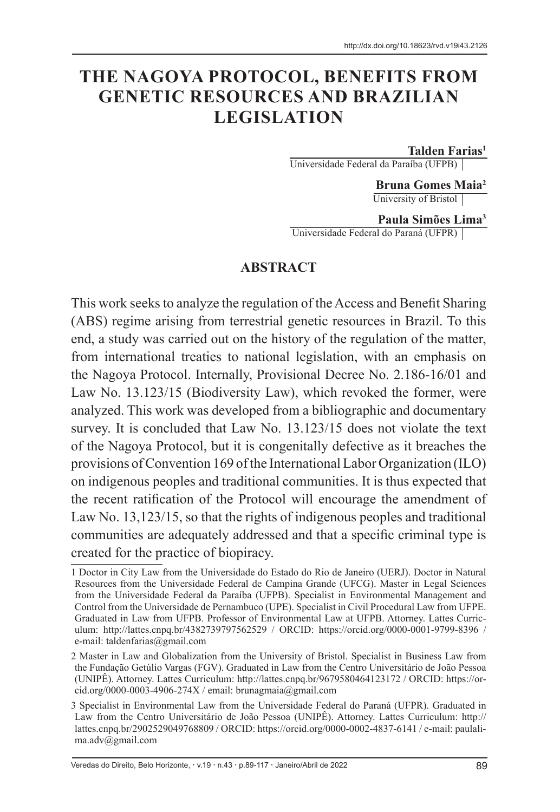# **THE NAGOYA PROTOCOL, BENEFITS FROM GENETIC RESOURCES AND BRAZILIAN LEGISLATION**

**Talden Farias1**

Universidade Federal da Paraíba (UFPB)

**Bruna Gomes Maia2** University of Bristol

**Paula Simões Lima3** Universidade Federal do Paraná (UFPR)

#### **ABSTRACT**

This work seeks to analyze the regulation of the Access and Benefit Sharing (ABS) regime arising from terrestrial genetic resources in Brazil. To this end, a study was carried out on the history of the regulation of the matter, from international treaties to national legislation, with an emphasis on the Nagoya Protocol. Internally, Provisional Decree No. 2.186-16/01 and Law No. 13.123/15 (Biodiversity Law), which revoked the former, were analyzed. This work was developed from a bibliographic and documentary survey. It is concluded that Law No. 13.123/15 does not violate the text of the Nagoya Protocol, but it is congenitally defective as it breaches the provisions of Convention 169 of the International Labor Organization (ILO) on indigenous peoples and traditional communities. It is thus expected that the recent ratification of the Protocol will encourage the amendment of Law No. 13,123/15, so that the rights of indigenous peoples and traditional communities are adequately addressed and that a specific criminal type is created for the practice of biopiracy.

<sup>1</sup> Doctor in City Law from the Universidade do Estado do Rio de Janeiro (UERJ). Doctor in Natural Resources from the Universidade Federal de Campina Grande (UFCG). Master in Legal Sciences from the Universidade Federal da Paraíba (UFPB). Specialist in Environmental Management and Control from the Universidade de Pernambuco (UPE). Specialist in Civil Procedural Law from UFPE. Graduated in Law from UFPB. Professor of Environmental Law at UFPB. Attorney. Lattes Curriculum: http://lattes.cnpq.br/4382739797562529 / ORCID: https://orcid.org/0000-0001-9799-8396 / e-mail: taldenfarias@gmail.com

<sup>2</sup> Master in Law and Globalization from the University of Bristol. Specialist in Business Law from the Fundação Getúlio Vargas (FGV). Graduated in Law from the Centro Universitário de João Pessoa (UNIPÊ). Attorney. Lattes Curriculum: http://lattes.cnpq.br/9679580464123172 / ORCID: https://orcid.org/0000-0003-4906-274X / email: brunagmaia@gmail.com

<sup>3</sup> Specialist in Environmental Law from the Universidade Federal do Paraná (UFPR). Graduated in Law from the Centro Universitário de João Pessoa (UNIPÊ). Attorney. Lattes Curriculum: http:// lattes.cnpq.br/2902529049768809 / ORCID: https://orcid.org/0000-0002-4837-6141 / e-mail: paulalima.adv@gmail.com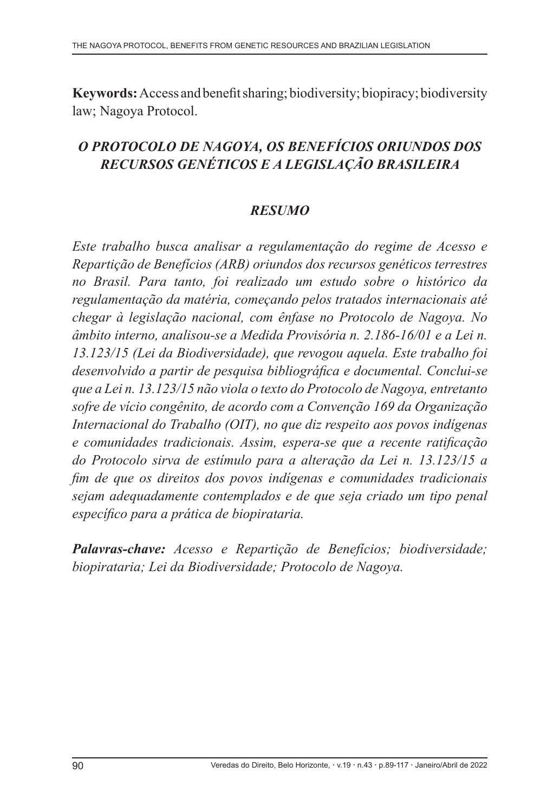**Keywords:** Access and benefit sharing;biodiversity; biopiracy; biodiversity law; Nagoya Protocol.

### *O PROTOCOLO DE NAGOYA, OS BENEFÍCIOS ORIUNDOS DOS RECURSOS GENÉTICOS E A LEGISLAÇÃO BRASILEIRA*

### *RESUMO*

*Este trabalho busca analisar a regulamentação do regime de Acesso e Repartição de Benefícios (ARB) oriundos dos recursos genéticos terrestres no Brasil. Para tanto, foi realizado um estudo sobre o histórico da regulamentação da matéria, começando pelos tratados internacionais até chegar à legislação nacional, com ênfase no Protocolo de Nagoya. No âmbito interno, analisou-se a Medida Provisória n. 2.186-16/01 e a Lei n. 13.123/15 (Lei da Biodiversidade), que revogou aquela. Este trabalho foi desenvolvido a partir de pesquisa bibliográfica e documental. Conclui-se que a Lei n. 13.123/15 não viola o texto do Protocolo de Nagoya, entretanto sofre de vício congênito, de acordo com a Convenção 169 da Organização Internacional do Trabalho (OIT), no que diz respeito aos povos indígenas e comunidades tradicionais. Assim, espera-se que a recente ratificação do Protocolo sirva de estímulo para a alteração da Lei n. 13.123/15 a fim de que os direitos dos povos indígenas e comunidades tradicionais sejam adequadamente contemplados e de que seja criado um tipo penal específico para a prática de biopirataria.*

*Palavras-chave: Acesso e Repartição de Benefícios; biodiversidade; biopirataria; Lei da Biodiversidade; Protocolo de Nagoya.*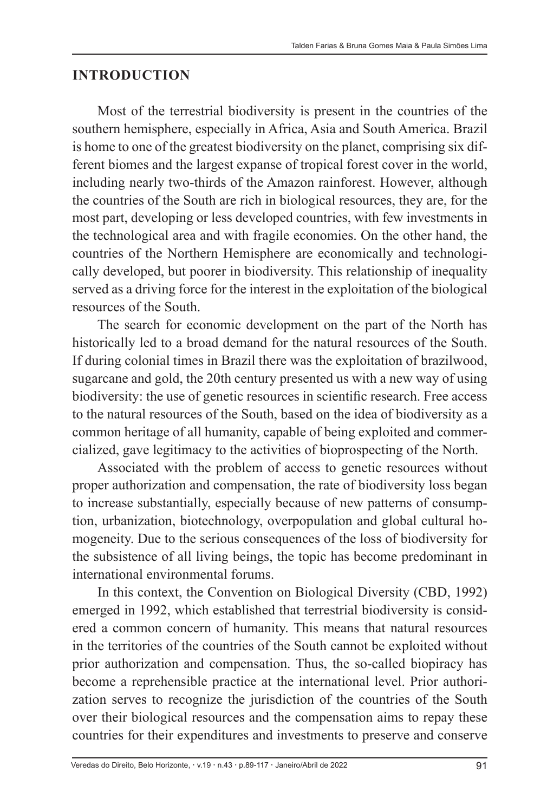#### **INTRODUCTION**

Most of the terrestrial biodiversity is present in the countries of the southern hemisphere, especially in Africa, Asia and South America. Brazil is home to one of the greatest biodiversity on the planet, comprising six different biomes and the largest expanse of tropical forest cover in the world, including nearly two-thirds of the Amazon rainforest. However, although the countries of the South are rich in biological resources, they are, for the most part, developing or less developed countries, with few investments in the technological area and with fragile economies. On the other hand, the countries of the Northern Hemisphere are economically and technologically developed, but poorer in biodiversity. This relationship of inequality served as a driving force for the interest in the exploitation of the biological resources of the South.

The search for economic development on the part of the North has historically led to a broad demand for the natural resources of the South. If during colonial times in Brazil there was the exploitation of brazilwood, sugarcane and gold, the 20th century presented us with a new way of using biodiversity: the use of genetic resources in scientific research. Free access to the natural resources of the South, based on the idea of biodiversity as a common heritage of all humanity, capable of being exploited and commercialized, gave legitimacy to the activities of bioprospecting of the North.

Associated with the problem of access to genetic resources without proper authorization and compensation, the rate of biodiversity loss began to increase substantially, especially because of new patterns of consumption, urbanization, biotechnology, overpopulation and global cultural homogeneity. Due to the serious consequences of the loss of biodiversity for the subsistence of all living beings, the topic has become predominant in international environmental forums.

In this context, the Convention on Biological Diversity (CBD, 1992) emerged in 1992, which established that terrestrial biodiversity is considered a common concern of humanity. This means that natural resources in the territories of the countries of the South cannot be exploited without prior authorization and compensation. Thus, the so-called biopiracy has become a reprehensible practice at the international level. Prior authorization serves to recognize the jurisdiction of the countries of the South over their biological resources and the compensation aims to repay these countries for their expenditures and investments to preserve and conserve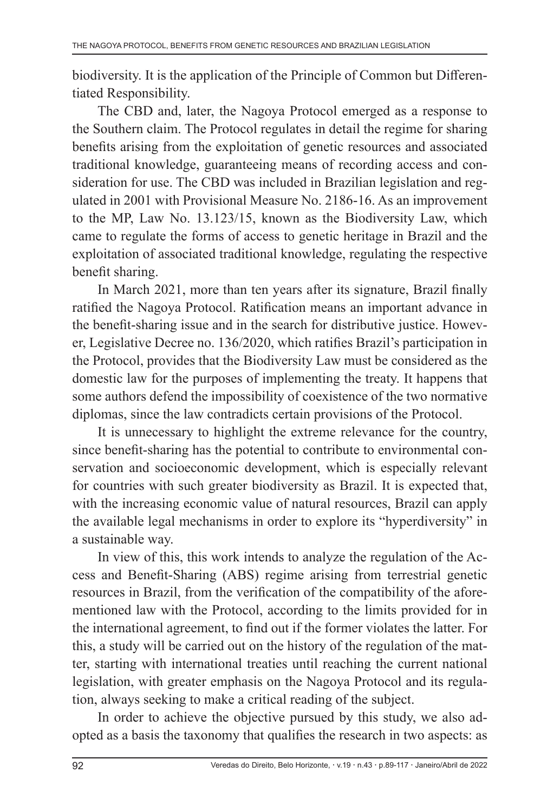biodiversity. It is the application of the Principle of Common but Differentiated Responsibility.

The CBD and, later, the Nagoya Protocol emerged as a response to the Southern claim. The Protocol regulates in detail the regime for sharing benefits arising from the exploitation of genetic resources and associated traditional knowledge, guaranteeing means of recording access and consideration for use. The CBD was included in Brazilian legislation and regulated in 2001 with Provisional Measure No. 2186-16. As an improvement to the MP, Law No. 13.123/15, known as the Biodiversity Law, which came to regulate the forms of access to genetic heritage in Brazil and the exploitation of associated traditional knowledge, regulating the respective benefit sharing.

In March 2021, more than ten years after its signature, Brazil finally ratified the Nagoya Protocol. Ratification means an important advance in the benefit-sharing issue and in the search for distributive justice. However, Legislative Decree no. 136/2020, which ratifies Brazil's participation in the Protocol, provides that the Biodiversity Law must be considered as the domestic law for the purposes of implementing the treaty. It happens that some authors defend the impossibility of coexistence of the two normative diplomas, since the law contradicts certain provisions of the Protocol.

It is unnecessary to highlight the extreme relevance for the country, since benefit-sharing has the potential to contribute to environmental conservation and socioeconomic development, which is especially relevant for countries with such greater biodiversity as Brazil. It is expected that, with the increasing economic value of natural resources, Brazil can apply the available legal mechanisms in order to explore its "hyperdiversity" in a sustainable way.

In view of this, this work intends to analyze the regulation of the Access and Benefit-Sharing (ABS) regime arising from terrestrial genetic resources in Brazil, from the verification of the compatibility of the aforementioned law with the Protocol, according to the limits provided for in the international agreement, to find out if the former violates the latter. For this, a study will be carried out on the history of the regulation of the matter, starting with international treaties until reaching the current national legislation, with greater emphasis on the Nagoya Protocol and its regulation, always seeking to make a critical reading of the subject.

In order to achieve the objective pursued by this study, we also adopted as a basis the taxonomy that qualifies the research in two aspects: as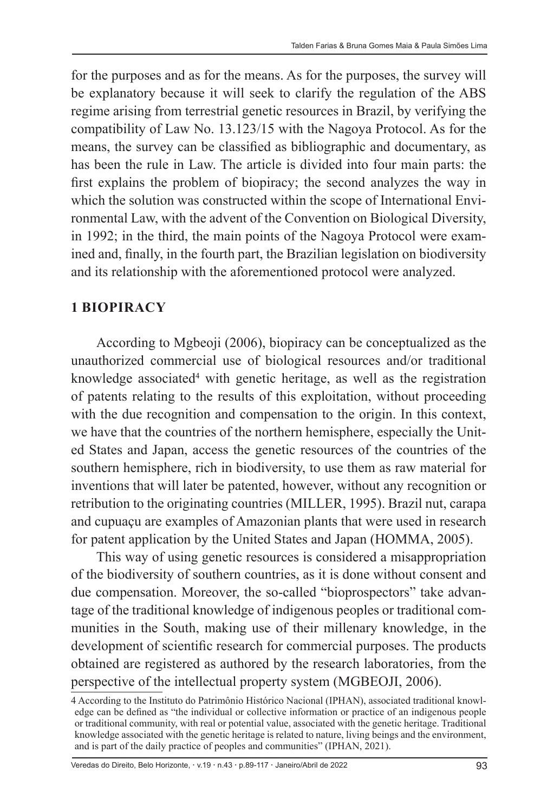for the purposes and as for the means. As for the purposes, the survey will be explanatory because it will seek to clarify the regulation of the ABS regime arising from terrestrial genetic resources in Brazil, by verifying the compatibility of Law No. 13.123/15 with the Nagoya Protocol. As for the means, the survey can be classified as bibliographic and documentary, as has been the rule in Law. The article is divided into four main parts: the first explains the problem of biopiracy; the second analyzes the way in which the solution was constructed within the scope of International Environmental Law, with the advent of the Convention on Biological Diversity, in 1992; in the third, the main points of the Nagoya Protocol were examined and, finally, in the fourth part, the Brazilian legislation on biodiversity and its relationship with the aforementioned protocol were analyzed.

#### **1 BIOPIRACY**

According to Mgbeoji (2006), biopiracy can be conceptualized as the unauthorized commercial use of biological resources and/or traditional knowledge associated<sup>4</sup> with genetic heritage, as well as the registration of patents relating to the results of this exploitation, without proceeding with the due recognition and compensation to the origin. In this context, we have that the countries of the northern hemisphere, especially the United States and Japan, access the genetic resources of the countries of the southern hemisphere, rich in biodiversity, to use them as raw material for inventions that will later be patented, however, without any recognition or retribution to the originating countries (MILLER, 1995). Brazil nut, carapa and cupuaçu are examples of Amazonian plants that were used in research for patent application by the United States and Japan (HOMMA, 2005).

This way of using genetic resources is considered a misappropriation of the biodiversity of southern countries, as it is done without consent and due compensation. Moreover, the so-called "bioprospectors" take advantage of the traditional knowledge of indigenous peoples or traditional communities in the South, making use of their millenary knowledge, in the development of scientific research for commercial purposes. The products obtained are registered as authored by the research laboratories, from the perspective of the intellectual property system (MGBEOJI, 2006).

<sup>4</sup> According to the Instituto do Patrimônio Histórico Nacional (IPHAN), associated traditional knowledge can be defined as "the individual or collective information or practice of an indigenous people or traditional community, with real or potential value, associated with the genetic heritage. Traditional knowledge associated with the genetic heritage is related to nature, living beings and the environment, and is part of the daily practice of peoples and communities" (IPHAN, 2021).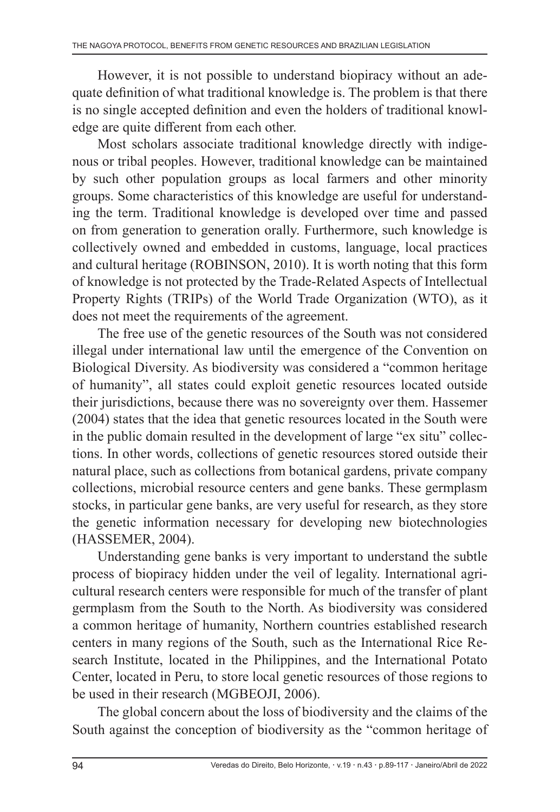However, it is not possible to understand biopiracy without an adequate definition of what traditional knowledge is. The problem is that there is no single accepted definition and even the holders of traditional knowledge are quite different from each other.

Most scholars associate traditional knowledge directly with indigenous or tribal peoples. However, traditional knowledge can be maintained by such other population groups as local farmers and other minority groups. Some characteristics of this knowledge are useful for understanding the term. Traditional knowledge is developed over time and passed on from generation to generation orally. Furthermore, such knowledge is collectively owned and embedded in customs, language, local practices and cultural heritage (ROBINSON, 2010). It is worth noting that this form of knowledge is not protected by the Trade-Related Aspects of Intellectual Property Rights (TRIPs) of the World Trade Organization (WTO), as it does not meet the requirements of the agreement.

The free use of the genetic resources of the South was not considered illegal under international law until the emergence of the Convention on Biological Diversity. As biodiversity was considered a "common heritage of humanity", all states could exploit genetic resources located outside their jurisdictions, because there was no sovereignty over them. Hassemer (2004) states that the idea that genetic resources located in the South were in the public domain resulted in the development of large "ex situ" collections. In other words, collections of genetic resources stored outside their natural place, such as collections from botanical gardens, private company collections, microbial resource centers and gene banks. These germplasm stocks, in particular gene banks, are very useful for research, as they store the genetic information necessary for developing new biotechnologies (HASSEMER, 2004).

Understanding gene banks is very important to understand the subtle process of biopiracy hidden under the veil of legality. International agricultural research centers were responsible for much of the transfer of plant germplasm from the South to the North. As biodiversity was considered a common heritage of humanity, Northern countries established research centers in many regions of the South, such as the International Rice Research Institute, located in the Philippines, and the International Potato Center, located in Peru, to store local genetic resources of those regions to be used in their research (MGBEOJI, 2006).

The global concern about the loss of biodiversity and the claims of the South against the conception of biodiversity as the "common heritage of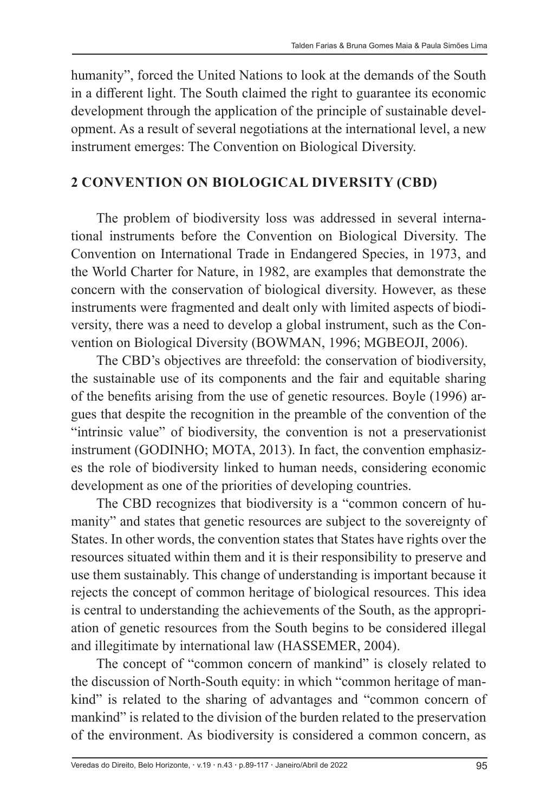humanity", forced the United Nations to look at the demands of the South in a different light. The South claimed the right to guarantee its economic development through the application of the principle of sustainable development. As a result of several negotiations at the international level, a new instrument emerges: The Convention on Biological Diversity.

#### **2 CONVENTION ON BIOLOGICAL DIVERSITY (CBD)**

The problem of biodiversity loss was addressed in several international instruments before the Convention on Biological Diversity. The Convention on International Trade in Endangered Species, in 1973, and the World Charter for Nature, in 1982, are examples that demonstrate the concern with the conservation of biological diversity. However, as these instruments were fragmented and dealt only with limited aspects of biodiversity, there was a need to develop a global instrument, such as the Convention on Biological Diversity (BOWMAN, 1996; MGBEOJI, 2006).

The CBD's objectives are threefold: the conservation of biodiversity, the sustainable use of its components and the fair and equitable sharing of the benefits arising from the use of genetic resources. Boyle (1996) argues that despite the recognition in the preamble of the convention of the "intrinsic value" of biodiversity, the convention is not a preservationist instrument (GODINHO; MOTA, 2013). In fact, the convention emphasizes the role of biodiversity linked to human needs, considering economic development as one of the priorities of developing countries.

The CBD recognizes that biodiversity is a "common concern of humanity" and states that genetic resources are subject to the sovereignty of States. In other words, the convention states that States have rights over the resources situated within them and it is their responsibility to preserve and use them sustainably. This change of understanding is important because it rejects the concept of common heritage of biological resources. This idea is central to understanding the achievements of the South, as the appropriation of genetic resources from the South begins to be considered illegal and illegitimate by international law (HASSEMER, 2004).

The concept of "common concern of mankind" is closely related to the discussion of North-South equity: in which "common heritage of mankind" is related to the sharing of advantages and "common concern of mankind" is related to the division of the burden related to the preservation of the environment. As biodiversity is considered a common concern, as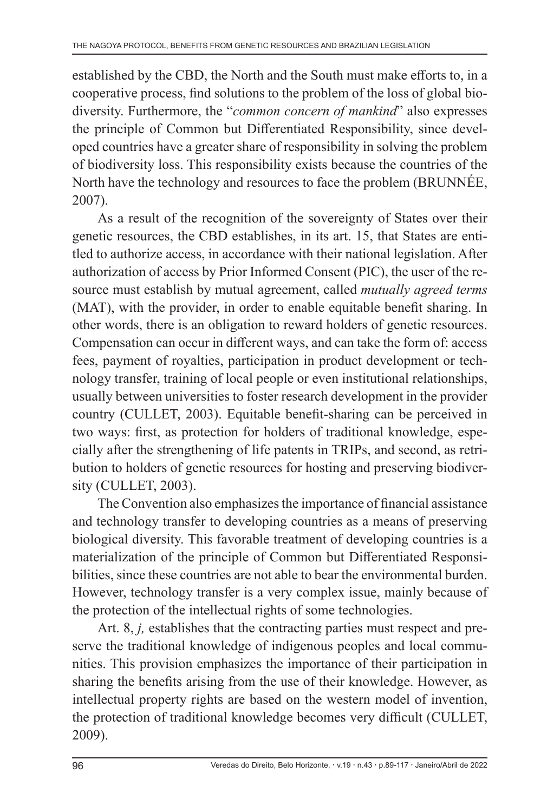established by the CBD, the North and the South must make efforts to, in a cooperative process, find solutions to the problem of the loss of global biodiversity. Furthermore, the "*common concern of mankind*" also expresses the principle of Common but Differentiated Responsibility, since developed countries have a greater share of responsibility in solving the problem of biodiversity loss. This responsibility exists because the countries of the North have the technology and resources to face the problem (BRUNNÉE, 2007).

As a result of the recognition of the sovereignty of States over their genetic resources, the CBD establishes, in its art. 15, that States are entitled to authorize access, in accordance with their national legislation. After authorization of access by Prior Informed Consent (PIC), the user of the resource must establish by mutual agreement, called *mutually agreed terms*  (MAT), with the provider, in order to enable equitable benefit sharing. In other words, there is an obligation to reward holders of genetic resources. Compensation can occur in different ways, and can take the form of: access fees, payment of royalties, participation in product development or technology transfer, training of local people or even institutional relationships, usually between universities to foster research development in the provider country (CULLET, 2003). Equitable benefit-sharing can be perceived in two ways: first, as protection for holders of traditional knowledge, especially after the strengthening of life patents in TRIPs, and second, as retribution to holders of genetic resources for hosting and preserving biodiversity (CULLET, 2003).

The Convention also emphasizes the importance of financial assistance and technology transfer to developing countries as a means of preserving biological diversity. This favorable treatment of developing countries is a materialization of the principle of Common but Differentiated Responsibilities, since these countries are not able to bear the environmental burden. However, technology transfer is a very complex issue, mainly because of the protection of the intellectual rights of some technologies.

Art. 8, *j,* establishes that the contracting parties must respect and preserve the traditional knowledge of indigenous peoples and local communities. This provision emphasizes the importance of their participation in sharing the benefits arising from the use of their knowledge. However, as intellectual property rights are based on the western model of invention, the protection of traditional knowledge becomes very difficult (CULLET, 2009).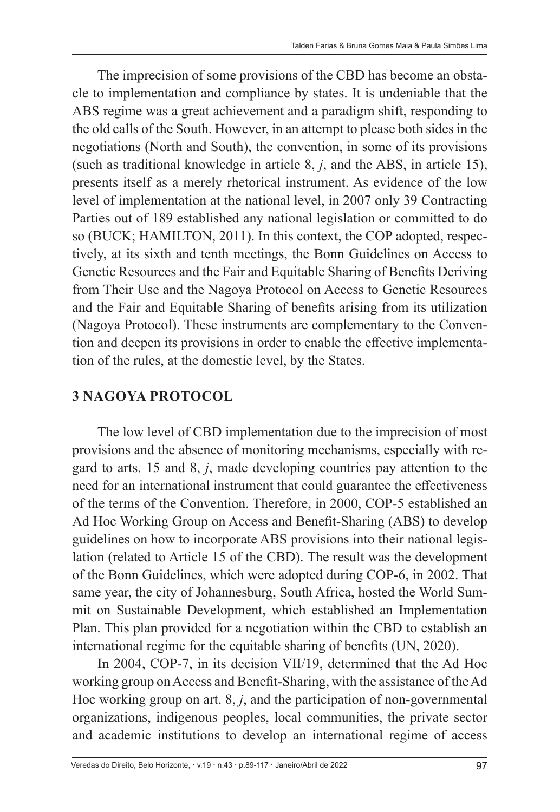The imprecision of some provisions of the CBD has become an obstacle to implementation and compliance by states. It is undeniable that the ABS regime was a great achievement and a paradigm shift, responding to the old calls of the South. However, in an attempt to please both sides in the negotiations (North and South), the convention, in some of its provisions (such as traditional knowledge in article 8, *j*, and the ABS, in article 15), presents itself as a merely rhetorical instrument. As evidence of the low level of implementation at the national level, in 2007 only 39 Contracting Parties out of 189 established any national legislation or committed to do so (BUCK; HAMILTON, 2011). In this context, the COP adopted, respectively, at its sixth and tenth meetings, the Bonn Guidelines on Access to Genetic Resources and the Fair and Equitable Sharing of Benefits Deriving from Their Use and the Nagoya Protocol on Access to Genetic Resources and the Fair and Equitable Sharing of benefits arising from its utilization (Nagoya Protocol). These instruments are complementary to the Convention and deepen its provisions in order to enable the effective implementation of the rules, at the domestic level, by the States.

#### **3 NAGOYA PROTOCOL**

The low level of CBD implementation due to the imprecision of most provisions and the absence of monitoring mechanisms, especially with regard to arts. 15 and 8, *j*, made developing countries pay attention to the need for an international instrument that could guarantee the effectiveness of the terms of the Convention. Therefore, in 2000, COP-5 established an Ad Hoc Working Group on Access and Benefit-Sharing (ABS) to develop guidelines on how to incorporate ABS provisions into their national legislation (related to Article 15 of the CBD). The result was the development of the Bonn Guidelines, which were adopted during COP-6, in 2002. That same year, the city of Johannesburg, South Africa, hosted the World Summit on Sustainable Development, which established an Implementation Plan. This plan provided for a negotiation within the CBD to establish an international regime for the equitable sharing of benefits (UN, 2020).

In 2004, COP-7, in its decision VII/19, determined that the Ad Hoc working group on Access and Benefit-Sharing, with the assistance of the Ad Hoc working group on art. 8, *j*, and the participation of non-governmental organizations, indigenous peoples, local communities, the private sector and academic institutions to develop an international regime of access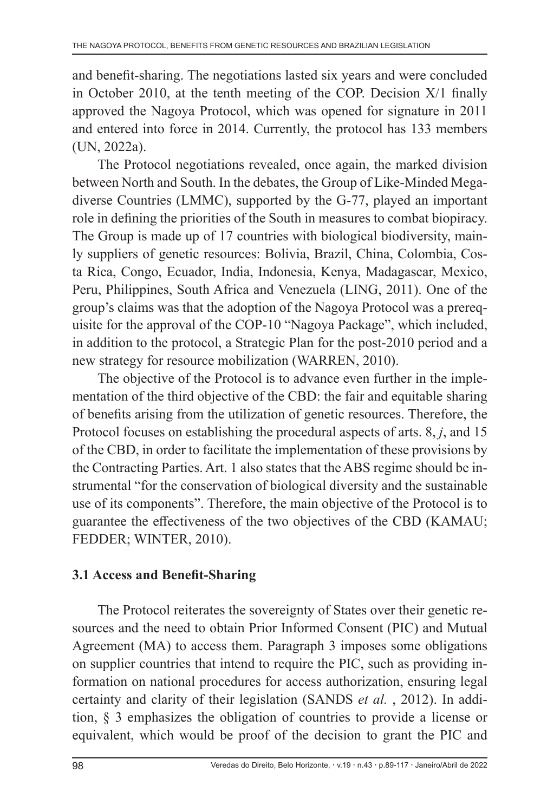and benefit-sharing. The negotiations lasted six years and were concluded in October 2010, at the tenth meeting of the COP. Decision X/1 finally approved the Nagoya Protocol, which was opened for signature in 2011 and entered into force in 2014. Currently, the protocol has 133 members (UN, 2022a).

The Protocol negotiations revealed, once again, the marked division between North and South. In the debates, the Group of Like-Minded Megadiverse Countries (LMMC), supported by the G-77, played an important role in defining the priorities of the South in measures to combat biopiracy. The Group is made up of 17 countries with biological biodiversity, mainly suppliers of genetic resources: Bolivia, Brazil, China, Colombia, Costa Rica, Congo, Ecuador, India, Indonesia, Kenya, Madagascar, Mexico, Peru, Philippines, South Africa and Venezuela (LING, 2011). One of the group's claims was that the adoption of the Nagoya Protocol was a prerequisite for the approval of the COP-10 "Nagoya Package", which included, in addition to the protocol, a Strategic Plan for the post-2010 period and a new strategy for resource mobilization (WARREN, 2010).

The objective of the Protocol is to advance even further in the implementation of the third objective of the CBD: the fair and equitable sharing of benefits arising from the utilization of genetic resources. Therefore, the Protocol focuses on establishing the procedural aspects of arts. 8, *j*, and 15 of the CBD, in order to facilitate the implementation of these provisions by the Contracting Parties. Art. 1 also states that the ABS regime should be instrumental "for the conservation of biological diversity and the sustainable use of its components". Therefore, the main objective of the Protocol is to guarantee the effectiveness of the two objectives of the CBD (KAMAU; FEDDER; WINTER, 2010).

### **3.1 Access and Benefit-Sharing**

The Protocol reiterates the sovereignty of States over their genetic resources and the need to obtain Prior Informed Consent (PIC) and Mutual Agreement (MA) to access them. Paragraph 3 imposes some obligations on supplier countries that intend to require the PIC, such as providing information on national procedures for access authorization, ensuring legal certainty and clarity of their legislation (SANDS *et al.* , 2012). In addition, § 3 emphasizes the obligation of countries to provide a license or equivalent, which would be proof of the decision to grant the PIC and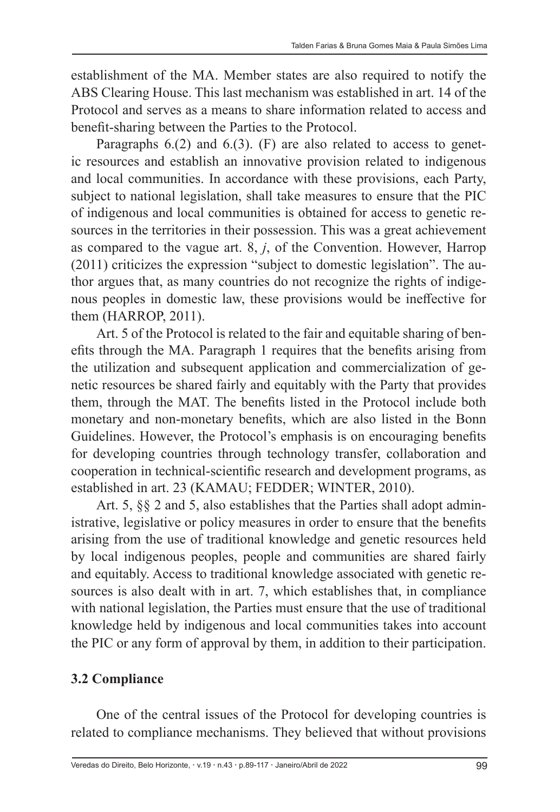establishment of the MA. Member states are also required to notify the ABS Clearing House. This last mechanism was established in art. 14 of the Protocol and serves as a means to share information related to access and benefit-sharing between the Parties to the Protocol.

Paragraphs 6.(2) and 6.(3). (F) are also related to access to genetic resources and establish an innovative provision related to indigenous and local communities. In accordance with these provisions, each Party, subject to national legislation, shall take measures to ensure that the PIC of indigenous and local communities is obtained for access to genetic resources in the territories in their possession. This was a great achievement as compared to the vague art. 8, *j*, of the Convention. However, Harrop (2011) criticizes the expression "subject to domestic legislation". The author argues that, as many countries do not recognize the rights of indigenous peoples in domestic law, these provisions would be ineffective for them (HARROP, 2011).

Art. 5 of the Protocol is related to the fair and equitable sharing of benefits through the MA. Paragraph 1 requires that the benefits arising from the utilization and subsequent application and commercialization of genetic resources be shared fairly and equitably with the Party that provides them, through the MAT. The benefits listed in the Protocol include both monetary and non-monetary benefits, which are also listed in the Bonn Guidelines. However, the Protocol's emphasis is on encouraging benefits for developing countries through technology transfer, collaboration and cooperation in technical-scientific research and development programs, as established in art. 23 (KAMAU; FEDDER; WINTER, 2010).

Art. 5, §§ 2 and 5, also establishes that the Parties shall adopt administrative, legislative or policy measures in order to ensure that the benefits arising from the use of traditional knowledge and genetic resources held by local indigenous peoples, people and communities are shared fairly and equitably. Access to traditional knowledge associated with genetic resources is also dealt with in art. 7, which establishes that, in compliance with national legislation, the Parties must ensure that the use of traditional knowledge held by indigenous and local communities takes into account the PIC or any form of approval by them, in addition to their participation.

### **3.2 Compliance**

One of the central issues of the Protocol for developing countries is related to compliance mechanisms. They believed that without provisions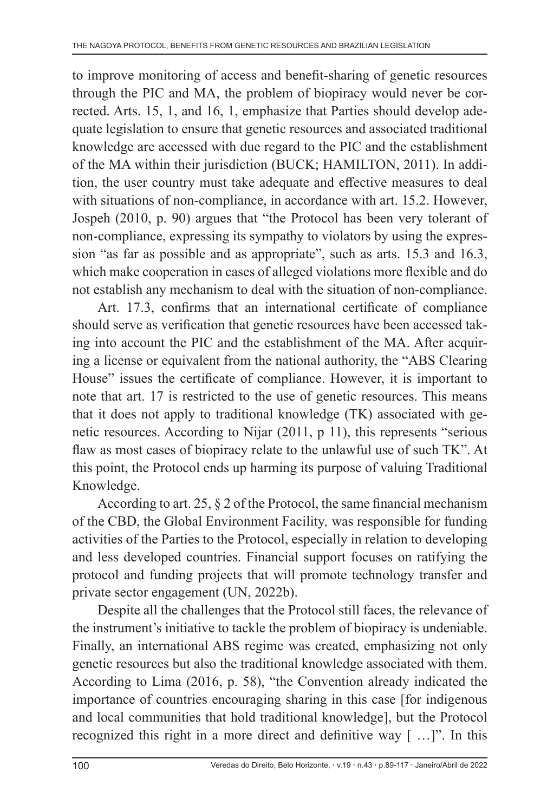to improve monitoring of access and benefit-sharing of genetic resources through the PIC and MA, the problem of biopiracy would never be corrected. Arts. 15, 1, and 16, 1, emphasize that Parties should develop adequate legislation to ensure that genetic resources and associated traditional knowledge are accessed with due regard to the PIC and the establishment of the MA within their jurisdiction (BUCK; HAMILTON, 2011). In addition, the user country must take adequate and effective measures to deal with situations of non-compliance, in accordance with art. 15.2. However, Jospeh (2010, p. 90) argues that "the Protocol has been very tolerant of non-compliance, expressing its sympathy to violators by using the expression "as far as possible and as appropriate", such as arts. 15.3 and 16.3, which make cooperation in cases of alleged violations more flexible and do not establish any mechanism to deal with the situation of non-compliance.

Art. 17.3, confirms that an international certificate of compliance should serve as verification that genetic resources have been accessed taking into account the PIC and the establishment of the MA. After acquiring a license or equivalent from the national authority, the "ABS Clearing House" issues the certificate of compliance. However, it is important to note that art. 17 is restricted to the use of genetic resources. This means that it does not apply to traditional knowledge (TK) associated with genetic resources. According to Nijar (2011, p 11), this represents "serious flaw as most cases of biopiracy relate to the unlawful use of such TK". At this point, the Protocol ends up harming its purpose of valuing Traditional Knowledge.

According to art. 25, § 2 of the Protocol, the same financial mechanism of the CBD, the Global Environment Facility*,* was responsible for funding activities of the Parties to the Protocol, especially in relation to developing and less developed countries. Financial support focuses on ratifying the protocol and funding projects that will promote technology transfer and private sector engagement (UN, 2022b).

Despite all the challenges that the Protocol still faces, the relevance of the instrument's initiative to tackle the problem of biopiracy is undeniable. Finally, an international ABS regime was created, emphasizing not only genetic resources but also the traditional knowledge associated with them. According to Lima (2016, p. 58), "the Convention already indicated the importance of countries encouraging sharing in this case [for indigenous and local communities that hold traditional knowledge], but the Protocol recognized this right in a more direct and definitive way [ …]". In this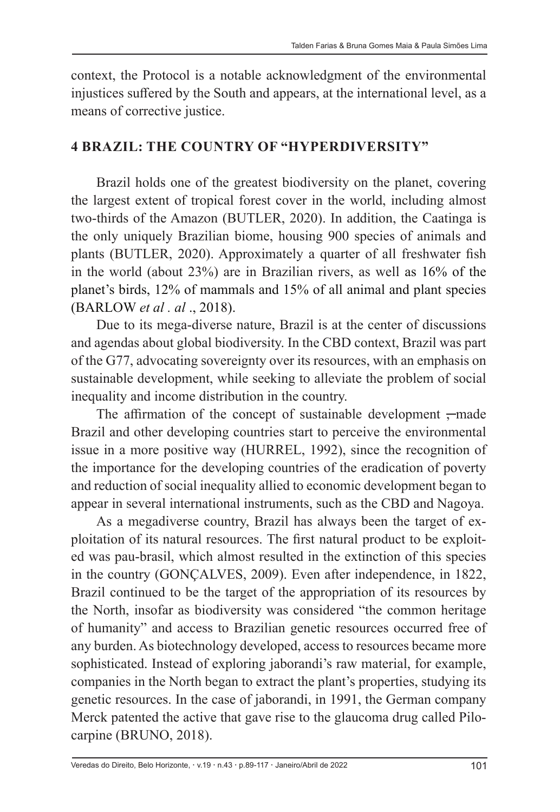context, the Protocol is a notable acknowledgment of the environmental injustices suffered by the South and appears, at the international level, as a means of corrective justice.

#### **4 BRAZIL: THE COUNTRY OF "HYPERDIVERSITY"**

Brazil holds one of the greatest biodiversity on the planet, covering the largest extent of tropical forest cover in the world, including almost two-thirds of the Amazon (BUTLER, 2020). In addition, the Caatinga is the only uniquely Brazilian biome, housing 900 species of animals and plants (BUTLER, 2020). Approximately a quarter of all freshwater fish in the world (about 23%) are in Brazilian rivers, as well as 16% of the planet's birds, 12% of mammals and 15% of all animal and plant species (BARLOW *et al . al* ., 2018).

Due to its mega-diverse nature, Brazil is at the center of discussions and agendas about global biodiversity. In the CBD context, Brazil was part of the G77, advocating sovereignty over its resources, with an emphasis on sustainable development, while seeking to alleviate the problem of social inequality and income distribution in the country.

The affirmation of the concept of sustainable development  $\tau$  made Brazil and other developing countries start to perceive the environmental issue in a more positive way (HURREL, 1992), since the recognition of the importance for the developing countries of the eradication of poverty and reduction of social inequality allied to economic development began to appear in several international instruments, such as the CBD and Nagoya.

As a megadiverse country, Brazil has always been the target of exploitation of its natural resources. The first natural product to be exploited was pau-brasil, which almost resulted in the extinction of this species in the country (GONÇALVES, 2009). Even after independence, in 1822, Brazil continued to be the target of the appropriation of its resources by the North, insofar as biodiversity was considered "the common heritage of humanity" and access to Brazilian genetic resources occurred free of any burden. As biotechnology developed, access to resources became more sophisticated. Instead of exploring jaborandi's raw material, for example, companies in the North began to extract the plant's properties, studying its genetic resources. In the case of jaborandi, in 1991, the German company Merck patented the active that gave rise to the glaucoma drug called Pilocarpine (BRUNO, 2018).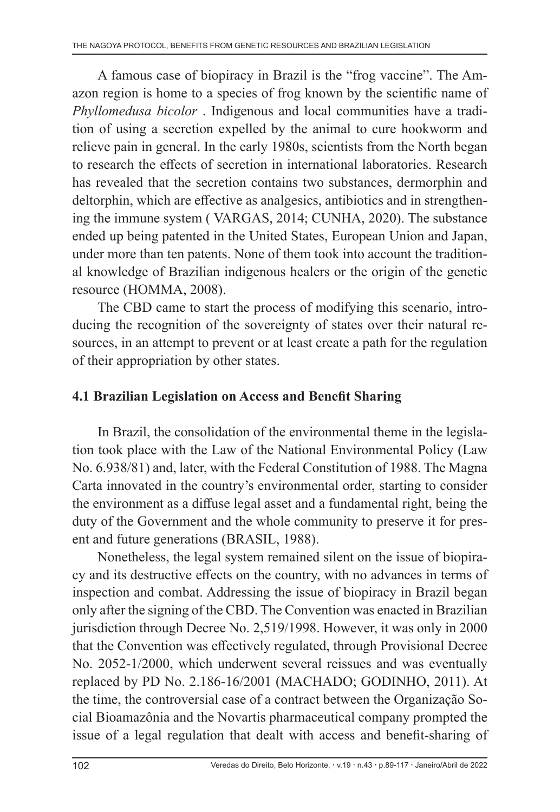A famous case of biopiracy in Brazil is the "frog vaccine". The Amazon region is home to a species of frog known by the scientific name of *Phyllomedusa bicolor* . Indigenous and local communities have a tradition of using a secretion expelled by the animal to cure hookworm and relieve pain in general. In the early 1980s, scientists from the North began to research the effects of secretion in international laboratories. Research has revealed that the secretion contains two substances, dermorphin and deltorphin, which are effective as analgesics, antibiotics and in strengthening the immune system ( VARGAS, 2014; CUNHA, 2020). The substance ended up being patented in the United States, European Union and Japan, under more than ten patents. None of them took into account the traditional knowledge of Brazilian indigenous healers or the origin of the genetic resource (HOMMA, 2008).

The CBD came to start the process of modifying this scenario, introducing the recognition of the sovereignty of states over their natural resources, in an attempt to prevent or at least create a path for the regulation of their appropriation by other states.

### **4.1 Brazilian Legislation on Access and Benefit Sharing**

In Brazil, the consolidation of the environmental theme in the legislation took place with the Law of the National Environmental Policy (Law No. 6.938/81) and, later, with the Federal Constitution of 1988. The Magna Carta innovated in the country's environmental order, starting to consider the environment as a diffuse legal asset and a fundamental right, being the duty of the Government and the whole community to preserve it for present and future generations (BRASIL, 1988).

Nonetheless, the legal system remained silent on the issue of biopiracy and its destructive effects on the country, with no advances in terms of inspection and combat. Addressing the issue of biopiracy in Brazil began only after the signing of the CBD. The Convention was enacted in Brazilian jurisdiction through Decree No. 2,519/1998. However, it was only in 2000 that the Convention was effectively regulated, through Provisional Decree No. 2052-1/2000, which underwent several reissues and was eventually replaced by PD No. 2.186-16/2001 (MACHADO; GODINHO, 2011). At the time, the controversial case of a contract between the Organização Social Bioamazônia and the Novartis pharmaceutical company prompted the issue of a legal regulation that dealt with access and benefit-sharing of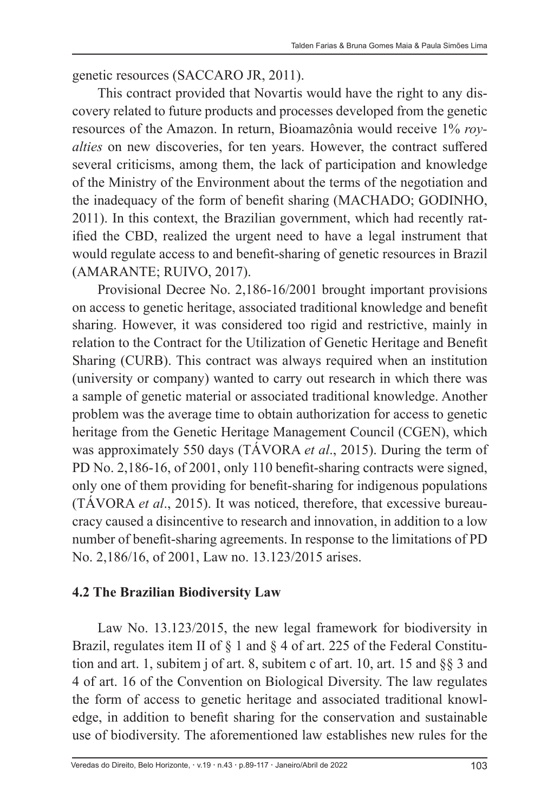genetic resources (SACCARO JR, 2011).

This contract provided that Novartis would have the right to any discovery related to future products and processes developed from the genetic resources of the Amazon. In return, Bioamazônia would receive 1% *royalties* on new discoveries, for ten years. However, the contract suffered several criticisms, among them, the lack of participation and knowledge of the Ministry of the Environment about the terms of the negotiation and the inadequacy of the form of benefit sharing (MACHADO; GODINHO, 2011). In this context, the Brazilian government, which had recently ratified the CBD, realized the urgent need to have a legal instrument that would regulate access to and benefit-sharing of genetic resources in Brazil (AMARANTE; RUIVO, 2017).

Provisional Decree No. 2,186-16/2001 brought important provisions on access to genetic heritage, associated traditional knowledge and benefit sharing. However, it was considered too rigid and restrictive, mainly in relation to the Contract for the Utilization of Genetic Heritage and Benefit Sharing (CURB). This contract was always required when an institution (university or company) wanted to carry out research in which there was a sample of genetic material or associated traditional knowledge. Another problem was the average time to obtain authorization for access to genetic heritage from the Genetic Heritage Management Council (CGEN), which was approximately 550 days (TÁVORA *et al*., 2015). During the term of PD No. 2,186-16, of 2001, only 110 benefit-sharing contracts were signed, only one of them providing for benefit-sharing for indigenous populations (TÁVORA *et al*., 2015). It was noticed, therefore, that excessive bureaucracy caused a disincentive to research and innovation, in addition to a low number of benefit-sharing agreements. In response to the limitations of PD No. 2,186/16, of 2001, Law no. 13.123/2015 arises.

### **4.2 The Brazilian Biodiversity Law**

Law No. 13.123/2015, the new legal framework for biodiversity in Brazil, regulates item II of § 1 and § 4 of art. 225 of the Federal Constitution and art. 1, subitem j of art. 8, subitem c of art. 10, art. 15 and §§ 3 and 4 of art. 16 of the Convention on Biological Diversity. The law regulates the form of access to genetic heritage and associated traditional knowledge, in addition to benefit sharing for the conservation and sustainable use of biodiversity. The aforementioned law establishes new rules for the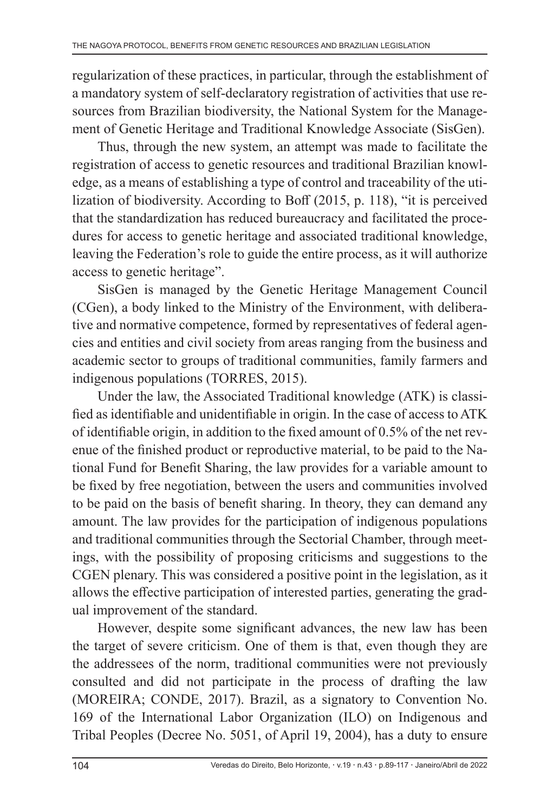regularization of these practices, in particular, through the establishment of a mandatory system of self-declaratory registration of activities that use resources from Brazilian biodiversity, the National System for the Management of Genetic Heritage and Traditional Knowledge Associate (SisGen).

Thus, through the new system, an attempt was made to facilitate the registration of access to genetic resources and traditional Brazilian knowledge, as a means of establishing a type of control and traceability of the utilization of biodiversity. According to Boff (2015, p. 118), "it is perceived that the standardization has reduced bureaucracy and facilitated the procedures for access to genetic heritage and associated traditional knowledge, leaving the Federation's role to guide the entire process, as it will authorize access to genetic heritage".

SisGen is managed by the Genetic Heritage Management Council (CGen), a body linked to the Ministry of the Environment, with deliberative and normative competence, formed by representatives of federal agencies and entities and civil society from areas ranging from the business and academic sector to groups of traditional communities, family farmers and indigenous populations (TORRES, 2015).

Under the law, the Associated Traditional knowledge (ATK) is classified as identifiable and unidentifiable in origin. In the case of access to ATK of identifiable origin, in addition to the fixed amount of 0.5% of the net revenue of the finished product or reproductive material, to be paid to the National Fund for Benefit Sharing, the law provides for a variable amount to be fixed by free negotiation, between the users and communities involved to be paid on the basis of benefit sharing. In theory, they can demand any amount. The law provides for the participation of indigenous populations and traditional communities through the Sectorial Chamber, through meetings, with the possibility of proposing criticisms and suggestions to the CGEN plenary. This was considered a positive point in the legislation, as it allows the effective participation of interested parties, generating the gradual improvement of the standard.

However, despite some significant advances, the new law has been the target of severe criticism. One of them is that, even though they are the addressees of the norm, traditional communities were not previously consulted and did not participate in the process of drafting the law (MOREIRA; CONDE, 2017). Brazil, as a signatory to Convention No. 169 of the International Labor Organization (ILO) on Indigenous and Tribal Peoples (Decree No. 5051, of April 19, 2004), has a duty to ensure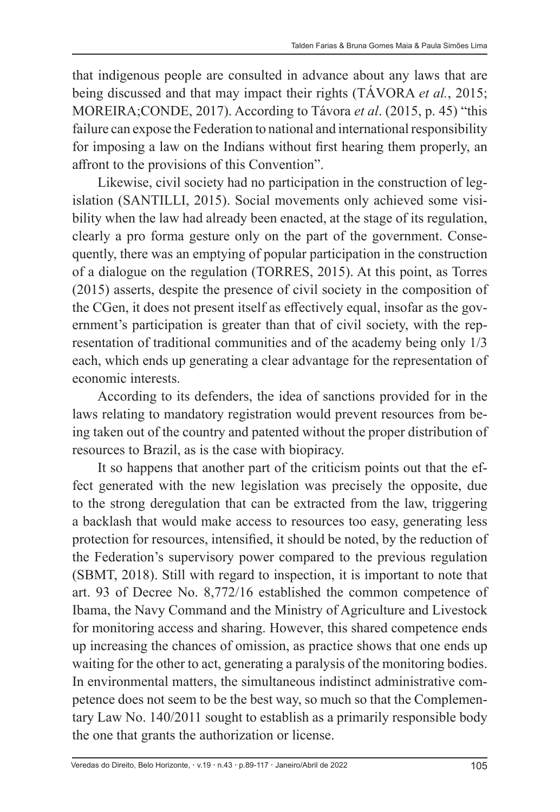that indigenous people are consulted in advance about any laws that are being discussed and that may impact their rights (TÁVORA *et al.*, 2015; MOREIRA;CONDE, 2017). According to Távora *et al*. (2015, p. 45) "this failure can expose the Federation to national and international responsibility for imposing a law on the Indians without first hearing them properly, an affront to the provisions of this Convention".

Likewise, civil society had no participation in the construction of legislation (SANTILLI, 2015). Social movements only achieved some visibility when the law had already been enacted, at the stage of its regulation, clearly a pro forma gesture only on the part of the government. Consequently, there was an emptying of popular participation in the construction of a dialogue on the regulation (TORRES, 2015). At this point, as Torres (2015) asserts, despite the presence of civil society in the composition of the CGen, it does not present itself as effectively equal, insofar as the government's participation is greater than that of civil society, with the representation of traditional communities and of the academy being only 1/3 each, which ends up generating a clear advantage for the representation of economic interests.

According to its defenders, the idea of sanctions provided for in the laws relating to mandatory registration would prevent resources from being taken out of the country and patented without the proper distribution of resources to Brazil, as is the case with biopiracy.

It so happens that another part of the criticism points out that the effect generated with the new legislation was precisely the opposite, due to the strong deregulation that can be extracted from the law, triggering a backlash that would make access to resources too easy, generating less protection for resources, intensified, it should be noted, by the reduction of the Federation's supervisory power compared to the previous regulation (SBMT, 2018). Still with regard to inspection, it is important to note that art. 93 of Decree No. 8,772/16 established the common competence of Ibama, the Navy Command and the Ministry of Agriculture and Livestock for monitoring access and sharing. However, this shared competence ends up increasing the chances of omission, as practice shows that one ends up waiting for the other to act, generating a paralysis of the monitoring bodies. In environmental matters, the simultaneous indistinct administrative competence does not seem to be the best way, so much so that the Complementary Law No. 140/2011 sought to establish as a primarily responsible body the one that grants the authorization or license.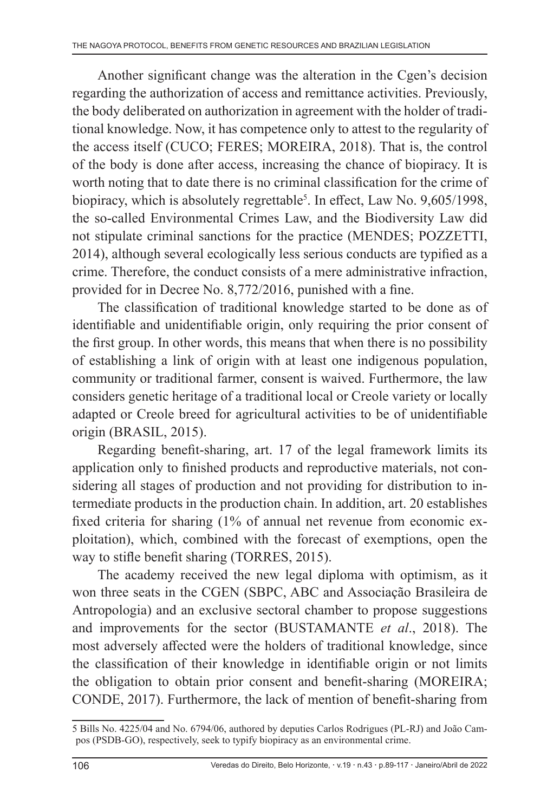Another significant change was the alteration in the Cgen's decision regarding the authorization of access and remittance activities. Previously, the body deliberated on authorization in agreement with the holder of traditional knowledge. Now, it has competence only to attest to the regularity of the access itself (CUCO; FERES; MOREIRA, 2018). That is, the control of the body is done after access, increasing the chance of biopiracy. It is worth noting that to date there is no criminal classification for the crime of biopiracy, which is absolutely regrettable<sup>5</sup>. In effect, Law No. 9,605/1998, the so-called Environmental Crimes Law, and the Biodiversity Law did not stipulate criminal sanctions for the practice (MENDES; POZZETTI, 2014), although several ecologically less serious conducts are typified as a crime. Therefore, the conduct consists of a mere administrative infraction, provided for in Decree No. 8,772/2016, punished with a fine.

The classification of traditional knowledge started to be done as of identifiable and unidentifiable origin, only requiring the prior consent of the first group. In other words, this means that when there is no possibility of establishing a link of origin with at least one indigenous population, community or traditional farmer, consent is waived. Furthermore, the law considers genetic heritage of a traditional local or Creole variety or locally adapted or Creole breed for agricultural activities to be of unidentifiable origin (BRASIL, 2015).

Regarding benefit-sharing, art. 17 of the legal framework limits its application only to finished products and reproductive materials, not considering all stages of production and not providing for distribution to intermediate products in the production chain. In addition, art. 20 establishes fixed criteria for sharing (1% of annual net revenue from economic exploitation), which, combined with the forecast of exemptions, open the way to stifle benefit sharing (TORRES, 2015).

The academy received the new legal diploma with optimism, as it won three seats in the CGEN (SBPC, ABC and Associação Brasileira de Antropologia) and an exclusive sectoral chamber to propose suggestions and improvements for the sector (BUSTAMANTE *et al*., 2018). The most adversely affected were the holders of traditional knowledge, since the classification of their knowledge in identifiable origin or not limits the obligation to obtain prior consent and benefit-sharing (MOREIRA; CONDE, 2017). Furthermore, the lack of mention of benefit-sharing from

<sup>5</sup> Bills No. 4225/04 and No. 6794/06, authored by deputies Carlos Rodrigues (PL-RJ) and João Campos (PSDB-GO), respectively, seek to typify biopiracy as an environmental crime.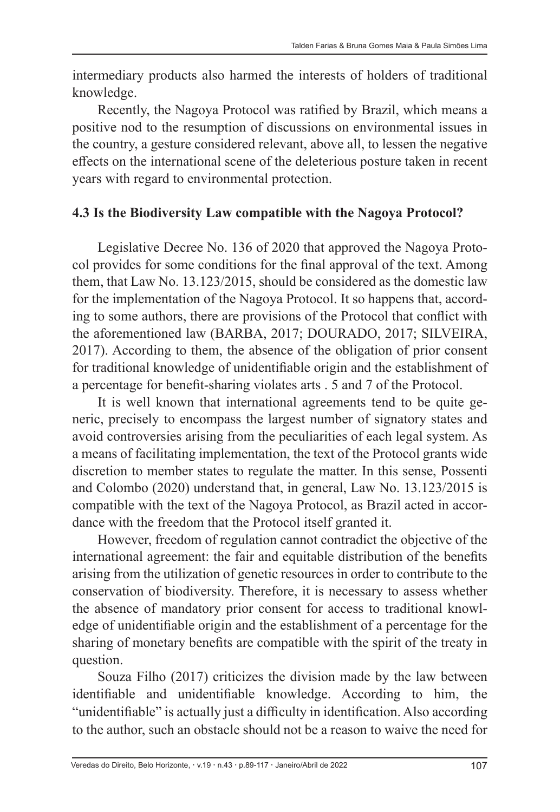intermediary products also harmed the interests of holders of traditional knowledge.

Recently, the Nagoya Protocol was ratified by Brazil, which means a positive nod to the resumption of discussions on environmental issues in the country, a gesture considered relevant, above all, to lessen the negative effects on the international scene of the deleterious posture taken in recent years with regard to environmental protection.

### **4.3 Is the Biodiversity Law compatible with the Nagoya Protocol?**

Legislative Decree No. 136 of 2020 that approved the Nagoya Protocol provides for some conditions for the final approval of the text. Among them, that Law No. 13.123/2015, should be considered as the domestic law for the implementation of the Nagoya Protocol. It so happens that, according to some authors, there are provisions of the Protocol that conflict with the aforementioned law (BARBA, 2017; DOURADO, 2017; SILVEIRA, 2017). According to them, the absence of the obligation of prior consent for traditional knowledge of unidentifiable origin and the establishment of a percentage for benefit-sharing violates arts . 5 and 7 of the Protocol.

It is well known that international agreements tend to be quite generic, precisely to encompass the largest number of signatory states and avoid controversies arising from the peculiarities of each legal system. As a means of facilitating implementation, the text of the Protocol grants wide discretion to member states to regulate the matter. In this sense, Possenti and Colombo (2020) understand that, in general, Law No. 13.123/2015 is compatible with the text of the Nagoya Protocol, as Brazil acted in accordance with the freedom that the Protocol itself granted it.

However, freedom of regulation cannot contradict the objective of the international agreement: the fair and equitable distribution of the benefits arising from the utilization of genetic resources in order to contribute to the conservation of biodiversity. Therefore, it is necessary to assess whether the absence of mandatory prior consent for access to traditional knowledge of unidentifiable origin and the establishment of a percentage for the sharing of monetary benefits are compatible with the spirit of the treaty in question.

Souza Filho (2017) criticizes the division made by the law between identifiable and unidentifiable knowledge. According to him, the "unidentifiable" is actually just a difficulty in identification. Also according to the author, such an obstacle should not be a reason to waive the need for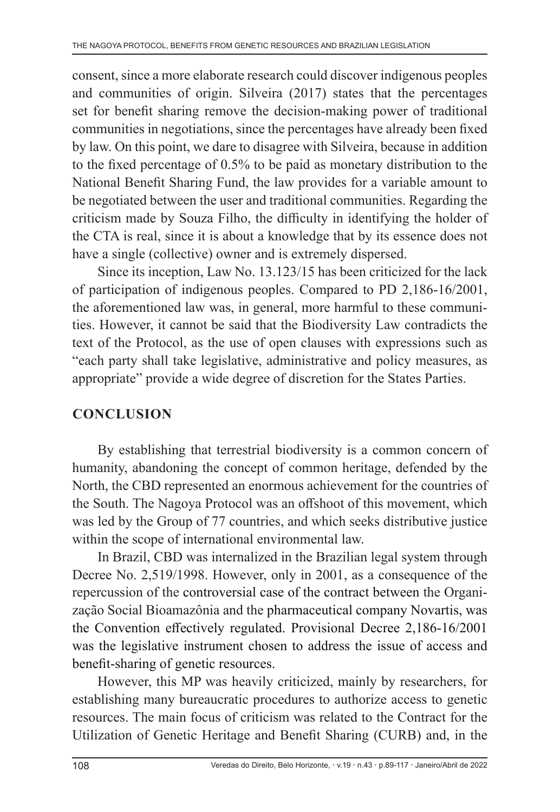consent, since a more elaborate research could discover indigenous peoples and communities of origin. Silveira (2017) states that the percentages set for benefit sharing remove the decision-making power of traditional communities in negotiations, since the percentages have already been fixed by law. On this point, we dare to disagree with Silveira, because in addition to the fixed percentage of 0.5% to be paid as monetary distribution to the National Benefit Sharing Fund, the law provides for a variable amount to be negotiated between the user and traditional communities. Regarding the criticism made by Souza Filho, the difficulty in identifying the holder of the CTA is real, since it is about a knowledge that by its essence does not have a single (collective) owner and is extremely dispersed.

Since its inception, Law No. 13.123/15 has been criticized for the lack of participation of indigenous peoples. Compared to PD 2,186-16/2001, the aforementioned law was, in general, more harmful to these communities. However, it cannot be said that the Biodiversity Law contradicts the text of the Protocol, as the use of open clauses with expressions such as "each party shall take legislative, administrative and policy measures, as appropriate" provide a wide degree of discretion for the States Parties.

### **CONCLUSION**

By establishing that terrestrial biodiversity is a common concern of humanity, abandoning the concept of common heritage, defended by the North, the CBD represented an enormous achievement for the countries of the South. The Nagoya Protocol was an offshoot of this movement, which was led by the Group of 77 countries, and which seeks distributive justice within the scope of international environmental law.

In Brazil, CBD was internalized in the Brazilian legal system through Decree No. 2,519/1998. However, only in 2001, as a consequence of the repercussion of the controversial case of the contract between the Organização Social Bioamazônia and the pharmaceutical company Novartis, was the Convention effectively regulated. Provisional Decree 2,186-16/2001 was the legislative instrument chosen to address the issue of access and benefit-sharing of genetic resources.

However, this MP was heavily criticized, mainly by researchers, for establishing many bureaucratic procedures to authorize access to genetic resources. The main focus of criticism was related to the Contract for the Utilization of Genetic Heritage and Benefit Sharing (CURB) and, in the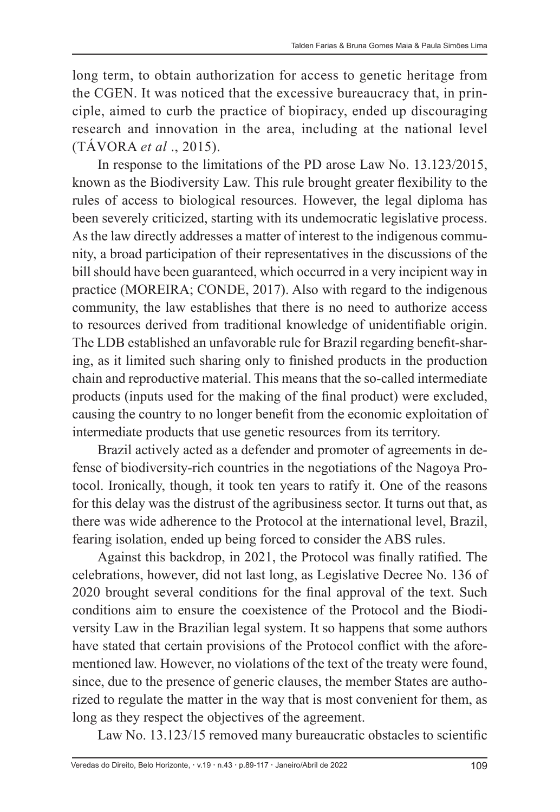long term, to obtain authorization for access to genetic heritage from the CGEN. It was noticed that the excessive bureaucracy that, in principle, aimed to curb the practice of biopiracy, ended up discouraging research and innovation in the area, including at the national level (TÁVORA *et al* ., 2015).

In response to the limitations of the PD arose Law No. 13.123/2015, known as the Biodiversity Law. This rule brought greater flexibility to the rules of access to biological resources. However, the legal diploma has been severely criticized, starting with its undemocratic legislative process. As the law directly addresses a matter of interest to the indigenous community, a broad participation of their representatives in the discussions of the bill should have been guaranteed, which occurred in a very incipient way in practice (MOREIRA; CONDE, 2017). Also with regard to the indigenous community, the law establishes that there is no need to authorize access to resources derived from traditional knowledge of unidentifiable origin. The LDB established an unfavorable rule for Brazil regarding benefit-sharing, as it limited such sharing only to finished products in the production chain and reproductive material. This means that the so-called intermediate products (inputs used for the making of the final product) were excluded, causing the country to no longer benefit from the economic exploitation of intermediate products that use genetic resources from its territory.

Brazil actively acted as a defender and promoter of agreements in defense of biodiversity-rich countries in the negotiations of the Nagoya Protocol. Ironically, though, it took ten years to ratify it. One of the reasons for this delay was the distrust of the agribusiness sector. It turns out that, as there was wide adherence to the Protocol at the international level, Brazil, fearing isolation, ended up being forced to consider the ABS rules.

Against this backdrop, in 2021, the Protocol was finally ratified. The celebrations, however, did not last long, as Legislative Decree No. 136 of 2020 brought several conditions for the final approval of the text. Such conditions aim to ensure the coexistence of the Protocol and the Biodiversity Law in the Brazilian legal system. It so happens that some authors have stated that certain provisions of the Protocol conflict with the aforementioned law. However, no violations of the text of the treaty were found, since, due to the presence of generic clauses, the member States are authorized to regulate the matter in the way that is most convenient for them, as long as they respect the objectives of the agreement.

Law No. 13.123/15 removed many bureaucratic obstacles to scientific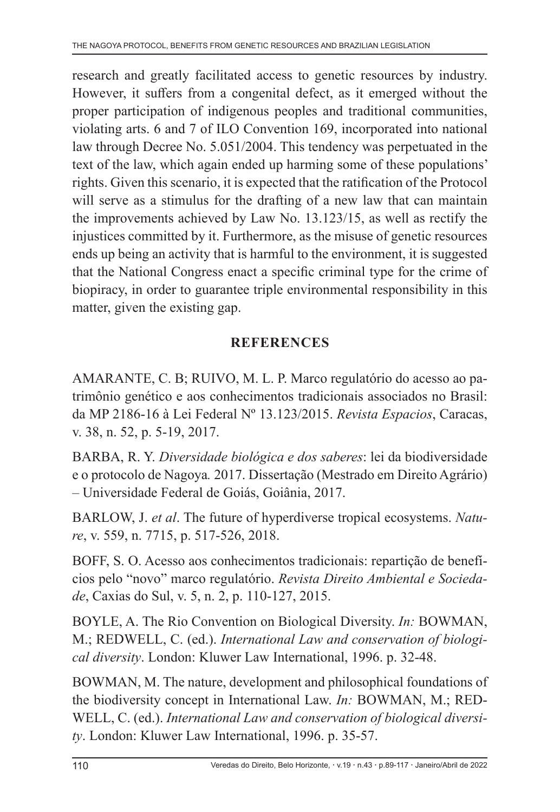research and greatly facilitated access to genetic resources by industry. However, it suffers from a congenital defect, as it emerged without the proper participation of indigenous peoples and traditional communities, violating arts. 6 and 7 of ILO Convention 169, incorporated into national law through Decree No. 5.051/2004. This tendency was perpetuated in the text of the law, which again ended up harming some of these populations' rights. Given this scenario, it is expected that the ratification of the Protocol will serve as a stimulus for the drafting of a new law that can maintain the improvements achieved by Law No. 13.123/15, as well as rectify the injustices committed by it. Furthermore, as the misuse of genetic resources ends up being an activity that is harmful to the environment, it is suggested that the National Congress enact a specific criminal type for the crime of biopiracy, in order to guarantee triple environmental responsibility in this matter, given the existing gap.

## **REFERENCES**

AMARANTE, C. B; RUIVO, M. L. P. Marco regulatório do acesso ao patrimônio genético e aos conhecimentos tradicionais associados no Brasil: da MP 2186-16 à Lei Federal Nº 13.123/2015. *Revista Espacios*, Caracas, v. 38, n. 52, p. 5-19, 2017.

BARBA, R. Y. *Diversidade biológica e dos saberes*: lei da biodiversidade e o protocolo de Nagoya*.* 2017. Dissertação (Mestrado em Direito Agrário) – Universidade Federal de Goiás, Goiânia, 2017.

BARLOW, J. *et al*. The future of hyperdiverse tropical ecosystems. *Nature*, v. 559, n. 7715, p. 517-526, 2018.

BOFF, S. O. Acesso aos conhecimentos tradicionais: repartição de benefícios pelo "novo" marco regulatório. *Revista Direito Ambiental e Sociedade*, Caxias do Sul, v. 5, n. 2, p. 110-127, 2015.

BOYLE, A. The Rio Convention on Biological Diversity. *In:* BOWMAN, M.; REDWELL, C. (ed.). *International Law and conservation of biological diversity*. London: Kluwer Law International, 1996. p. 32-48.

BOWMAN, M. The nature, development and philosophical foundations of the biodiversity concept in International Law. *In:* BOWMAN, M.; RED-WELL, C. (ed.). *International Law and conservation of biological diversity*. London: Kluwer Law International, 1996. p. 35-57.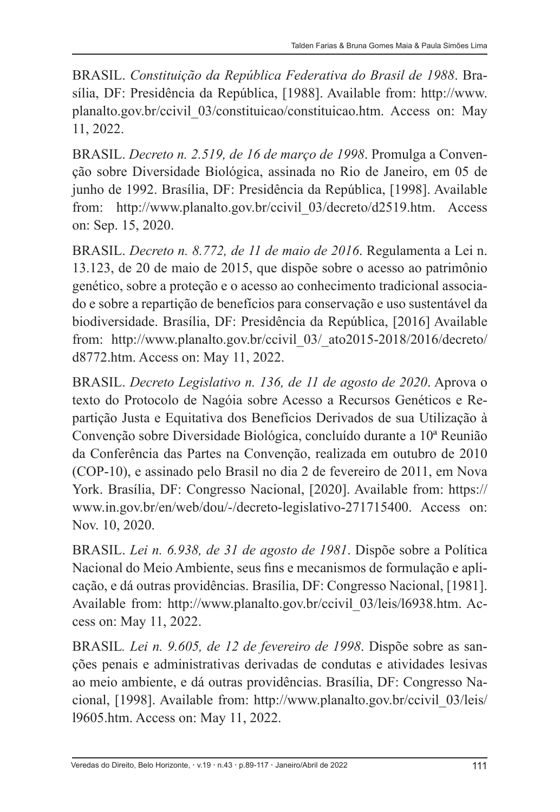BRASIL. *Constituição da República Federativa do Brasil de 1988*. Brasília, DF: Presidência da República, [1988]. Available from: http://www. planalto.gov.br/ccivil\_03/constituicao/constituicao.htm. Access on: May 11, 2022.

BRASIL. *Decreto n. 2.519, de 16 de março de 1998*. Promulga a Convenção sobre Diversidade Biológica, assinada no Rio de Janeiro, em 05 de junho de 1992. Brasília, DF: Presidência da República, [1998]. Available from: http://www.planalto.gov.br/ccivil\_03/decreto/d2519.htm. Access on: Sep. 15, 2020.

BRASIL. *Decreto n. 8.772, de 11 de maio de 2016*. Regulamenta a Lei n. 13.123, de 20 de maio de 2015, que dispõe sobre o acesso ao patrimônio genético, sobre a proteção e o acesso ao conhecimento tradicional associado e sobre a repartição de benefícios para conservação e uso sustentável da biodiversidade. Brasília, DF: Presidência da República, [2016] Available from: http://www.planalto.gov.br/ccivil\_03/\_ato2015-2018/2016/decreto/ d8772.htm. Access on: May 11, 2022.

BRASIL. *Decreto Legislativo n. 136, de 11 de agosto de 2020*. Aprova o texto do Protocolo de Nagóia sobre Acesso a Recursos Genéticos e Repartição Justa e Equitativa dos Benefícios Derivados de sua Utilização à Convenção sobre Diversidade Biológica, concluído durante a 10ª Reunião da Conferência das Partes na Convenção, realizada em outubro de 2010 (COP-10), e assinado pelo Brasil no dia 2 de fevereiro de 2011, em Nova York. Brasília, DF: Congresso Nacional, [2020]. Available from: https:// www.in.gov.br/en/web/dou/-/decreto-legislativo-271715400. Access on: Nov. 10, 2020.

BRASIL. *Lei n. 6.938, de 31 de agosto de 1981*. Dispõe sobre a Política Nacional do Meio Ambiente, seus fins e mecanismos de formulação e aplicação, e dá outras providências. Brasília, DF: Congresso Nacional, [1981]. Available from: http://www.planalto.gov.br/ccivil\_03/leis/l6938.htm. Access on: May 11, 2022.

BRASIL*. Lei n. 9.605, de 12 de fevereiro de 1998*. Dispõe sobre as sanções penais e administrativas derivadas de condutas e atividades lesivas ao meio ambiente, e dá outras providências. Brasília, DF: Congresso Nacional, [1998]. Available from: http://www.planalto.gov.br/ccivil\_03/leis/ l9605.htm. Access on: May 11, 2022.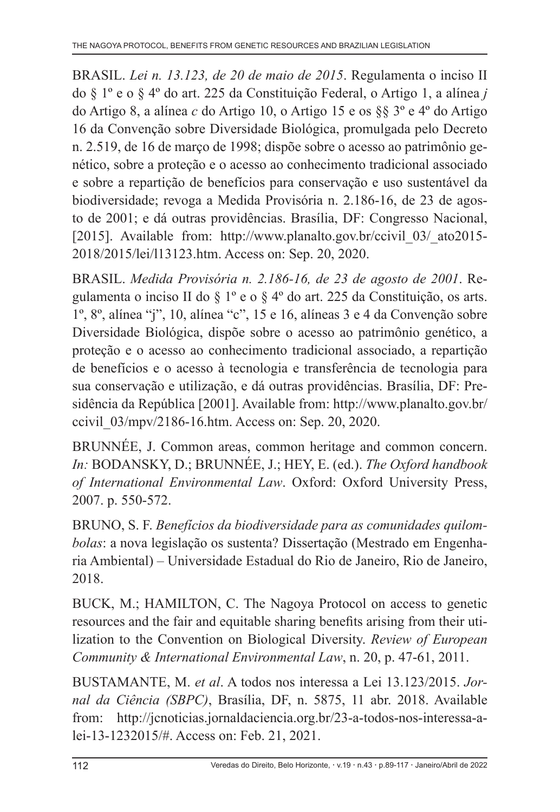BRASIL. *Lei n. 13.123, de 20 de maio de 2015*. Regulamenta o inciso II do § 1º e o § 4º do art. 225 da Constituição Federal, o Artigo 1, a alínea *j*  do Artigo 8, a alínea *c* do Artigo 10, o Artigo 15 e os §§ 3º e 4º do Artigo 16 da Convenção sobre Diversidade Biológica, promulgada pelo Decreto n. 2.519, de 16 de março de 1998; dispõe sobre o acesso ao patrimônio genético, sobre a proteção e o acesso ao conhecimento tradicional associado e sobre a repartição de benefícios para conservação e uso sustentável da biodiversidade; revoga a Medida Provisória n. 2.186-16, de 23 de agosto de 2001; e dá outras providências. Brasília, DF: Congresso Nacional, [2015]. Available from: http://www.planalto.gov.br/ccivil 03/ ato2015-2018/2015/lei/l13123.htm. Access on: Sep. 20, 2020.

BRASIL. *Medida Provisória n. 2.186-16, de 23 de agosto de 2001*. Regulamenta o inciso II do § 1º e o § 4º do art. 225 da Constituição, os arts. 1º, 8º, alínea "j", 10, alínea "c", 15 e 16, alíneas 3 e 4 da Convenção sobre Diversidade Biológica, dispõe sobre o acesso ao patrimônio genético, a proteção e o acesso ao conhecimento tradicional associado, a repartição de benefícios e o acesso à tecnologia e transferência de tecnologia para sua conservação e utilização, e dá outras providências. Brasília, DF: Presidência da República [2001]. Available from: http://www.planalto.gov.br/ ccivil\_03/mpv/2186-16.htm. Access on: Sep. 20, 2020.

BRUNNÉE, J. Common areas, common heritage and common concern. *In:* BODANSKY, D.; BRUNNÉE, J.; HEY, E. (ed.). *The Oxford handbook of International Environmental Law*. Oxford: Oxford University Press, 2007. p. 550-572.

BRUNO, S. F. *Benefícios da biodiversidade para as comunidades quilombolas*: a nova legislação os sustenta? Dissertação (Mestrado em Engenharia Ambiental) – Universidade Estadual do Rio de Janeiro, Rio de Janeiro, 2018.

BUCK, M.; HAMILTON, C. The Nagoya Protocol on access to genetic resources and the fair and equitable sharing benefits arising from their utilization to the Convention on Biological Diversity. *Review of European Community & International Environmental Law*, n. 20, p. 47-61, 2011.

BUSTAMANTE, M. *et al*. A todos nos interessa a Lei 13.123/2015. *Jornal da Ciência (SBPC)*, Brasília, DF, n. 5875, 11 abr. 2018. Available from: http://jcnoticias.jornaldaciencia.org.br/23-a-todos-nos-interessa-alei-13-1232015/#. Access on: Feb. 21, 2021.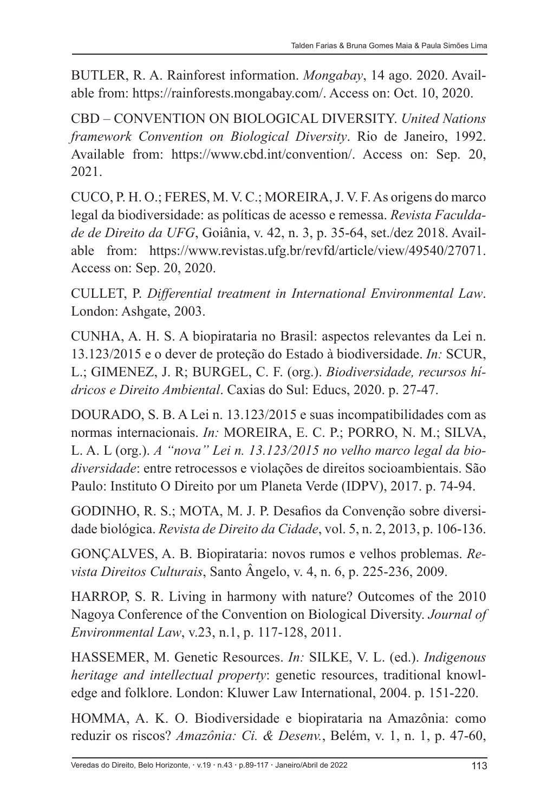BUTLER, R. A. Rainforest information. *Mongabay*, 14 ago. 2020. Available from: https://rainforests.mongabay.com/. Access on: Oct. 10, 2020.

CBD – CONVENTION ON BIOLOGICAL DIVERSITY. *United Nations framework Convention on Biological Diversity*. Rio de Janeiro, 1992. Available from: https://www.cbd.int/convention/. Access on: Sep. 20, 2021.

CUCO, P. H. O.; FERES, M. V. C.; MOREIRA, J. V. F. As origens do marco legal da biodiversidade: as políticas de acesso e remessa. *Revista Faculdade de Direito da UFG*, Goiânia, v. 42, n. 3, p. 35-64, set./dez 2018. Available from: https://www.revistas.ufg.br/revfd/article/view/49540/27071. Access on: Sep. 20, 2020.

CULLET, P. *Differential treatment in International Environmental Law*. London: Ashgate, 2003.

CUNHA, A. H. S. A biopirataria no Brasil: aspectos relevantes da Lei n. 13.123/2015 e o dever de proteção do Estado à biodiversidade. *In:* SCUR, L.; GIMENEZ, J. R; BURGEL, C. F. (org.). *Biodiversidade, recursos hídricos e Direito Ambiental*. Caxias do Sul: Educs, 2020. p. 27-47.

DOURADO, S. B. A Lei n. 13.123/2015 e suas incompatibilidades com as normas internacionais. *In:* MOREIRA, E. C. P.; PORRO, N. M.; SILVA, L. A. L (org.). *A "nova" Lei n. 13.123/2015 no velho marco legal da biodiversidade*: entre retrocessos e violações de direitos socioambientais. São Paulo: Instituto O Direito por um Planeta Verde (IDPV), 2017. p. 74-94.

GODINHO, R. S.; MOTA, M. J. P. Desafios da Convenção sobre diversidade biológica. *Revista de Direito da Cidade*, vol. 5, n. 2, 2013, p. 106-136.

GONÇALVES, A. B. Biopirataria: novos rumos e velhos problemas. *Revista Direitos Culturais*, Santo Ângelo, v. 4, n. 6, p. 225-236, 2009.

HARROP, S. R. Living in harmony with nature? Outcomes of the 2010 Nagoya Conference of the Convention on Biological Diversity. *Journal of Environmental Law*, v.23, n.1, p. 117-128, 2011.

HASSEMER, M. Genetic Resources. *In:* SILKE, V. L. (ed.). *Indigenous heritage and intellectual property*: genetic resources, traditional knowledge and folklore. London: Kluwer Law International, 2004. p. 151-220.

HOMMA, A. K. O. Biodiversidade e biopirataria na Amazônia: como reduzir os riscos? *Amazônia: Ci. & Desenv.*, Belém, v. 1, n. 1, p. 47-60,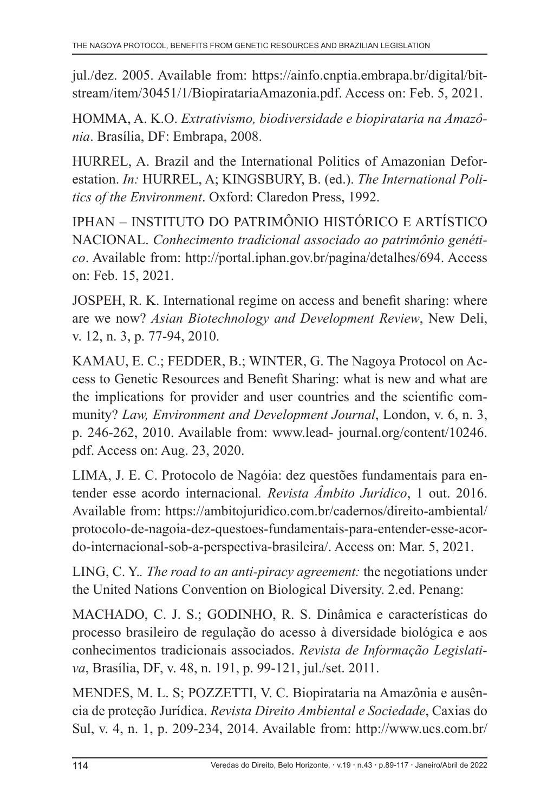jul./dez. 2005. Available from: https://ainfo.cnptia.embrapa.br/digital/bitstream/item/30451/1/BiopiratariaAmazonia.pdf. Access on: Feb. 5, 2021.

HOMMA, A. K.O. *Extrativismo, biodiversidade e biopirataria na Amazônia*. Brasília, DF: Embrapa, 2008.

HURREL, A. Brazil and the International Politics of Amazonian Deforestation. *In:* HURREL, A; KINGSBURY, B. (ed.). *The International Politics of the Environment*. Oxford: Claredon Press, 1992.

IPHAN – INSTITUTO DO PATRIMÔNIO HISTÓRICO E ARTÍSTICO NACIONAL. *Conhecimento tradicional associado ao patrimônio genético*. Available from: http://portal.iphan.gov.br/pagina/detalhes/694. Access on: Feb. 15, 2021.

JOSPEH, R. K. International regime on access and benefit sharing: where are we now? *Asian Biotechnology and Development Review*, New Deli, v. 12, n. 3, p. 77-94, 2010.

KAMAU, E. C.; FEDDER, B.; WINTER, G. The Nagoya Protocol on Access to Genetic Resources and Benefit Sharing: what is new and what are the implications for provider and user countries and the scientific community? *Law, Environment and Development Journal*, London, v. 6, n. 3, p. 246-262, 2010. Available from: www.lead- journal.org/content/10246. pdf. Access on: Aug. 23, 2020.

LIMA, J. E. C. Protocolo de Nagóia: dez questões fundamentais para entender esse acordo internacional*. Revista Âmbito Jurídico*, 1 out. 2016. Available from: https://ambitojuridico.com.br/cadernos/direito-ambiental/ protocolo-de-nagoia-dez-questoes-fundamentais-para-entender-esse-acordo-internacional-sob-a-perspectiva-brasileira/. Access on: Mar. 5, 2021.

LING, C. Y.*. The road to an anti-piracy agreement:* the negotiations under the United Nations Convention on Biological Diversity. 2.ed. Penang:

MACHADO, C. J. S.; GODINHO, R. S. Dinâmica e características do processo brasileiro de regulação do acesso à diversidade biológica e aos conhecimentos tradicionais associados. *Revista de Informação Legislativa*, Brasília, DF, v. 48, n. 191, p. 99-121, jul./set. 2011.

MENDES, M. L. S; POZZETTI, V. C. Biopirataria na Amazônia e ausência de proteção Jurídica. *Revista Direito Ambiental e Sociedade*, Caxias do Sul, v. 4, n. 1, p. 209-234, 2014. Available from: http://www.ucs.com.br/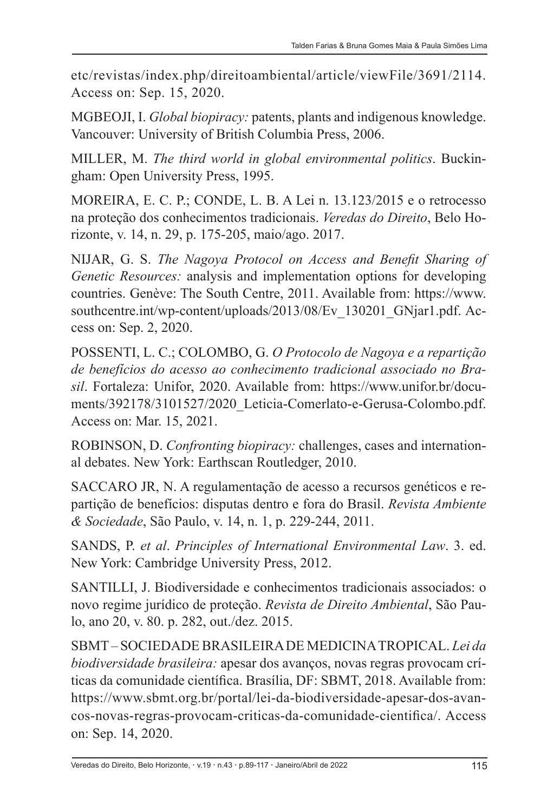etc/revistas/index.php/direitoambiental/article/viewFile/3691/2114. Access on: Sep. 15, 2020.

MGBEOJI, I. *Global biopiracy:* patents, plants and indigenous knowledge. Vancouver: University of British Columbia Press, 2006.

MILLER, M. *The third world in global environmental politics*. Buckingham: Open University Press, 1995.

MOREIRA, E. C. P.; CONDE, L. B. A Lei n. 13.123/2015 e o retrocesso na proteção dos conhecimentos tradicionais. *Veredas do Direito*, Belo Horizonte, v. 14, n. 29, p. 175-205, maio/ago. 2017.

NIJAR, G. S. *The Nagoya Protocol on Access and Benefit Sharing of Genetic Resources:* analysis and implementation options for developing countries. Genève: The South Centre, 2011. Available from: https://www. southcentre.int/wp-content/uploads/2013/08/Ev\_130201\_GNjar1.pdf. Access on: Sep. 2, 2020.

POSSENTI, L. C.; COLOMBO, G. *O Protocolo de Nagoya e a repartição de benefícios do acesso ao conhecimento tradicional associado no Brasil*. Fortaleza: Unifor, 2020. Available from: https://www.unifor.br/documents/392178/3101527/2020\_Leticia-Comerlato-e-Gerusa-Colombo.pdf. Access on: Mar. 15, 2021.

ROBINSON, D. *Confronting biopiracy:* challenges, cases and international debates. New York: Earthscan Routledger, 2010.

SACCARO JR, N. A regulamentação de acesso a recursos genéticos e repartição de benefícios: disputas dentro e fora do Brasil. *Revista Ambiente & Sociedade*, São Paulo, v. 14, n. 1, p. 229-244, 2011.

SANDS, P. *et al*. *Principles of International Environmental Law*. 3. ed. New York: Cambridge University Press, 2012.

SANTILLI, J. Biodiversidade e conhecimentos tradicionais associados: o novo regime jurídico de proteção. *Revista de Direito Ambiental*, São Paulo, ano 20, v. 80. p. 282, out./dez. 2015.

SBMT – SOCIEDADE BRASILEIRA DE MEDICINA TROPICAL. *Lei da biodiversidade brasileira:* apesar dos avanços, novas regras provocam críticas da comunidade científica. Brasília, DF: SBMT, 2018. Available from: https://www.sbmt.org.br/portal/lei-da-biodiversidade-apesar-dos-avancos-novas-regras-provocam-criticas-da-comunidade-cientifica/. Access on: Sep. 14, 2020.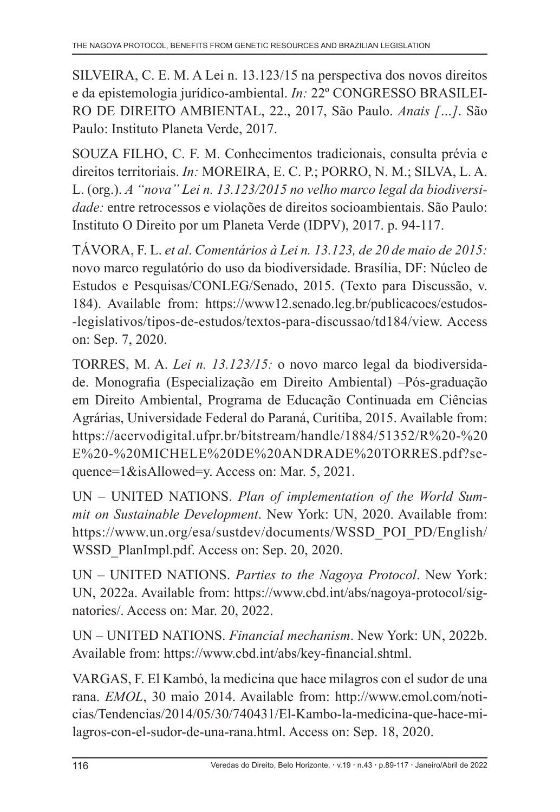SILVEIRA, C. E. M. A Lei n. 13.123/15 na perspectiva dos novos direitos e da epistemologia jurídico-ambiental. *In:* 22º CONGRESSO BRASILEI-RO DE DIREITO AMBIENTAL, 22., 2017, São Paulo. *Anais […]*. São Paulo: Instituto Planeta Verde, 2017.

SOUZA FILHO, C. F. M. Conhecimentos tradicionais, consulta prévia e direitos territoriais. *In:* MOREIRA, E. C. P.; PORRO, N. M.; SILVA, L. A. L. (org.). *A "nova" Lei n. 13.123/2015 no velho marco legal da biodiversidade:* entre retrocessos e violações de direitos socioambientais. São Paulo: Instituto O Direito por um Planeta Verde (IDPV), 2017. p. 94-117.

TÁVORA, F. L. *et al*. *Comentários à Lei n. 13.123, de 20 de maio de 2015:*  novo marco regulatório do uso da biodiversidade. Brasília, DF: Núcleo de Estudos e Pesquisas/CONLEG/Senado, 2015. (Texto para Discussão, v. 184). Available from: https://www12.senado.leg.br/publicacoes/estudos- -legislativos/tipos-de-estudos/textos-para-discussao/td184/view. Access on: Sep. 7, 2020.

TORRES, M. A. *Lei n. 13.123/15:* o novo marco legal da biodiversidade. Monografia (Especialização em Direito Ambiental) –Pós-graduação em Direito Ambiental, Programa de Educação Continuada em Ciências Agrárias, Universidade Federal do Paraná, Curitiba, 2015. Available from: https://acervodigital.ufpr.br/bitstream/handle/1884/51352/R%20-%20 E%20-%20MICHELE%20DE%20ANDRADE%20TORRES.pdf?sequence=1&isAllowed=y. Access on: Mar. 5, 2021.

UN – UNITED NATIONS. *Plan of implementation of the World Summit on Sustainable Development*. New York: UN, 2020. Available from: https://www.un.org/esa/sustdev/documents/WSSD\_POI\_PD/English/ WSSD\_PlanImpl.pdf. Access on: Sep. 20, 2020.

UN – UNITED NATIONS. *Parties to the Nagoya Protocol*. New York: UN, 2022a. Available from: https://www.cbd.int/abs/nagoya-protocol/signatories/. Access on: Mar. 20, 2022.

UN – UNITED NATIONS. *Financial mechanism*. New York: UN, 2022b. Available from: https://www.cbd.int/abs/key-financial.shtml.

VARGAS, F. El Kambó, la medicina que hace milagros con el sudor de una rana. *EMOL*, 30 maio 2014. Available from: http://www.emol.com/noticias/Tendencias/2014/05/30/740431/El-Kambo-la-medicina-que-hace-milagros-con-el-sudor-de-una-rana.html. Access on: Sep. 18, 2020.